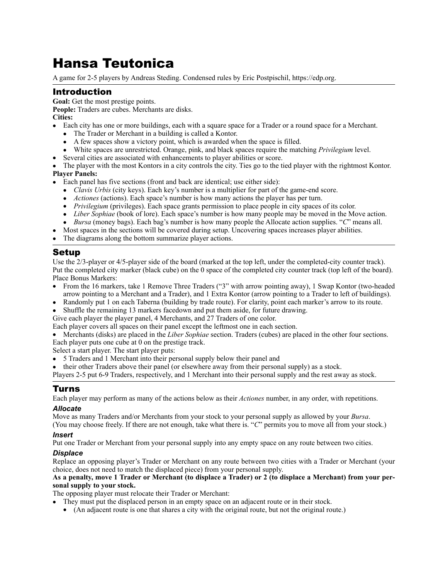# Hansa Teutonica

A game for 2-5 players by Andreas Steding. Condensed rules by Eric Postpischil,<https://edp.org>.

## Introduction

**Goal:** Get the most prestige points. **People:** Traders are cubes. Merchants are disks.

**Cities:** 

- Each city has one or more buildings, each with a square space for a Trader or a round space for a Merchant.
	- The Trader or Merchant in a building is called a Kontor.
	- A few spaces show a victory point, which is awarded when the space is filled.
	- White spaces are unrestricted. Orange, pink, and black spaces require the matching *Privilegium* level.
- Several cities are associated with enhancements to player abilities or score.
- The player with the most Kontors in a city controls the city. Ties go to the tied player with the rightmost Kontor.

### **Player Panels:**

- Each panel has five sections (front and back are identical; use either side):
	- *Clavis Urbis* (city keys). Each key's number is a multiplier for part of the game-end score.
	- *Actiones* (actions). Each space's number is how many actions the player has per turn.
	- *Privilegium* (privileges). Each space grants permission to place people in city spaces of its color.
	- • *Liber Sophiae* (book of lore). Each space's number is how many people may be moved in the Move action.
	- *Bursa* (money bags). Each bag's number is how many people the Allocate action supplies. "*C*" means all.
	- Most spaces in the sections will be covered during setup. Uncovering spaces increases player abilities.
- The diagrams along the bottom summarize player actions.

## Setup

Use the 2/3-player or 4/5-player side of the board (marked at the top left, under the completed-city counter track). Put the completed city marker (black cube) on the 0 space of the completed city counter track (top left of the board). Place Bonus Markers:

- From the 16 markers, take 1 Remove Three Traders ("3" with arrow pointing away), 1 Swap Kontor (two-headed arrow pointing to a Merchant and a Trader), and 1 Extra Kontor (arrow pointing to a Trader to left of buildings).
- Randomly put 1 on each Taberna (building by trade route). For clarity, point each marker's arrow to its route.
- Shuffle the remaining 13 markers facedown and put them aside, for future drawing.

Give each player the player panel, 4 Merchants, and 27 Traders of one color.

Each player covers all spaces on their panel except the leftmost one in each section.

• Merchants (disks) are placed in the *Liber Sophiae* section. Traders (cubes) are placed in the other four sections.

Each player puts one cube at 0 on the prestige track.

Select a start player. The start player puts:

- 5 Traders and 1 Merchant into their personal supply below their panel and
- their other Traders above their panel (or elsewhere away from their personal supply) as a stock.

Players 2-5 put 6-9 Traders, respectively, and 1 Merchant into their personal supply and the rest away as stock.

## Turns

Each player may perform as many of the actions below as their *Actiones* number, in any order, with repetitions.

### *Allocate*

Move as many Traders and/or Merchants from your stock to your personal supply as allowed by your *Bursa*.

(You may choose freely. If there are not enough, take what there is. "*C*" permits you to move all from your stock.) *Insert* 

Put one Trader or Merchant from your personal supply into any empty space on any route between two cities.

#### *Displace*

Replace an opposing player's Trader or Merchant on any route between two cities with a Trader or Merchant (your choice, does not need to match the displaced piece) from your personal supply.

#### **As a penalty, move 1 Trader or Merchant (to displace a Trader) or 2 (to displace a Merchant) from your personal supply to your stock.**

The opposing player must relocate their Trader or Merchant:

- They must put the displaced person in an empty space on an adjacent route or in their stock.
	- (An adjacent route is one that shares a city with the original route, but not the original route.)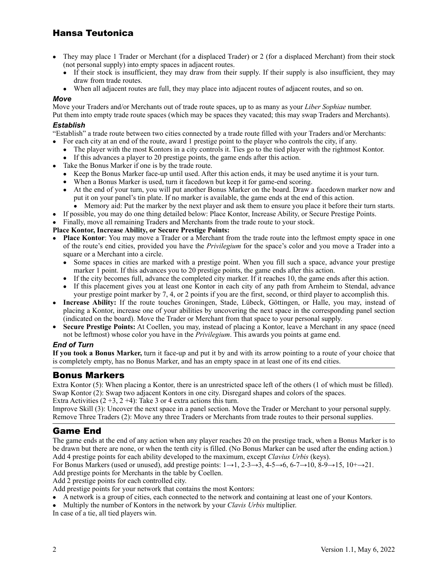## Hansa Teutonica

- They may place 1 Trader or Merchant (for a displaced Trader) or 2 (for a displaced Merchant) from their stock (not personal supply) into empty spaces in adjacent routes.
	- If their stock is insufficient, they may draw from their supply. If their supply is also insufficient, they may draw from trade routes.
	- When all adjacent routes are full, they may place into adjacent routes of adjacent routes, and so on.

#### *Move*

Move your Traders and/or Merchants out of trade route spaces, up to as many as your *Liber Sophiae* number.

Put them into empty trade route spaces (which may be spaces they vacated; this may swap Traders and Merchants). *Establish* 

"Establish" a trade route between two cities connected by a trade route filled with your Traders and/or Merchants:

- For each city at an end of the route, award 1 prestige point to the player who controls the city, if any.
	- The player with the most Kontors in a city controls it. Ties go to the tied player with the rightmost Kontor. • If this advances a player to 20 prestige points, the game ends after this action.
- Take the Bonus Marker if one is by the trade route.
	- Keep the Bonus Marker face-up until used. After this action ends, it may be used anytime it is your turn.
	- When a Bonus Marker is used, turn it facedown but keep it for game-end scoring.
	- At the end of your turn, you will put another Bonus Marker on the board. Draw a facedown marker now and put it on your panel's tin plate. If no marker is available, the game ends at the end of this action. • Memory aid: Put the marker by the next player and ask them to ensure you place it before their turn starts.
	-
- If possible, you may do one thing detailed below: Place Kontor, Increase Ability, or Secure Prestige Points.
- Finally, move all remaining Traders and Merchants from the trade route to your stock.

#### **Place Kontor, Increase Ability, or Secure Prestige Points:**

- **Place Kontor**: You may move a Trader or a Merchant from the trade route into the leftmost empty space in one of the route's end cities, provided you have the *Privilegium* for the space's color and you move a Trader into a square or a Merchant into a circle.
	- Some spaces in cities are marked with a prestige point. When you fill such a space, advance your prestige marker 1 point. If this advances you to 20 prestige points, the game ends after this action.
	- If the city becomes full, advance the completed city marker. If it reaches 10, the game ends after this action.
	- If this placement gives you at least one Kontor in each city of any path from Arnheim to Stendal, advance your prestige point marker by 7, 4, or 2 points if you are the first, second, or third player to accomplish this.
- • **Increase Ability:** If the route touches Groningen, Stade, Lübeck, Göttingen, or Halle, you may, instead of placing a Kontor, increase one of your abilities by uncovering the next space in the corresponding panel section (indicated on the board). Move the Trader or Merchant from that space to your personal supply.
- • **Secure Prestige Points:** At Coellen, you may, instead of placing a Kontor, leave a Merchant in any space (need not be leftmost) whose color you have in the *Privilegium*. This awards you points at game end.

#### *End of Turn*

**If you took a Bonus Marker,** turn it face-up and put it by and with its arrow pointing to a route of your choice that is completely empty, has no Bonus Marker, and has an empty space in at least one of its end cities.

## Bonus Markers

Extra Kontor (5): When placing a Kontor, there is an unrestricted space left of the others (1 of which must be filled). Swap Kontor (2): Swap two adjacent Kontors in one city. Disregard shapes and colors of the spaces.

Extra Activities  $(2 + 3, 2 + 4)$ : Take 3 or 4 extra actions this turn.

Improve Skill (3): Uncover the next space in a panel section. Move the Trader or Merchant to your personal supply. Remove Three Traders (2): Move any three Traders or Merchants from trade routes to their personal supplies.

## Game End

The game ends at the end of any action when any player reaches 20 on the prestige track, when a Bonus Marker is to be drawn but there are none, or when the tenth city is filled. (No Bonus Marker can be used after the ending action.) Add 4 prestige points for each ability developed to the maximum, except *Clavius Urbis* (keys).

For Bonus Markers (used or unused), add prestige points:  $1\rightarrow 1$ ,  $2\rightarrow 3\rightarrow 3$ ,  $4\rightarrow 5\rightarrow 6$ ,  $6\rightarrow 7\rightarrow 10$ ,  $8\rightarrow 9\rightarrow 15$ ,  $10\rightarrow 21$ .

Add prestige points for Merchants in the table by Coellen.

Add 2 prestige points for each controlled city.

Add prestige points for your network that contains the most Kontors:

- A network is a group of cities, each connected to the network and containing at least one of your Kontors.
- Multiply the number of Kontors in the network by your *Clavis Urbis* multiplier.

In case of a tie, all tied players win.